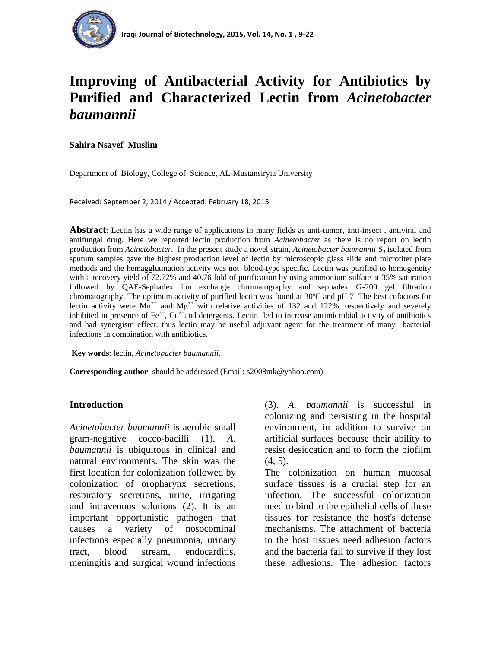

# **Improving of Antibacterial Activity for Antibiotics by Purified and Characterized Lectin from** *Acinetobacter baumannii*

**Sahira Nsayef Muslim**

Department of Biology, College of Science, AL-Mustansiryia University

Received: September 2, 2014 / Accepted: February 18, 2015

**Abstract**: Lectin has a wide range of applications in many fields as anti-tumor, anti-insect , antiviral and antifungal drug. Here we reported lectin production from *Acinetobacter* as there is no report on lectin production from *Acinetobacter*. In the present study a novel strain, *Acinetobacter baumannii*  $S_3$  isolated from sputum samples gave the highest production level of lectin by microscopic glass slide and microtiter plate methods and the hemagglutination activity was not blood-type specific. Lectin was purified to homogeneity with a recovery yield of 72.72% and 40.76 fold of purification by using ammonium sulfate at 35% saturation followed by QAE-Sephadex ion exchange chromatography and sephadex G-200 gel filtration chromatography. The optimum activity of purified lectin was found at 30ºC and pH 7. The best cofactors for lectin activity were  $Mn^{++}$  and  $Mg^{++}$  with relative activities of 132 and 122%, respectively and severely inhibited in presence of  $Fe^{3+}$ ,  $Cu^{2+}$  and detergents. Lectin led to increase antimicrobial activity of antibiotics and had synergism effect, thus lectin may be useful adjuvant agent for the treatment of many bacterial infections in combination with antibiotics.

**Key words**: lectin, *Acinetobacter baumannii*.

**Corresponding author**: should be addressed (Email: s2008mk@yahoo.com)

# **Introduction**

*Acinetobacter baumannii* is aerobic small gram-negative cocco-bacilli (1). *A. baumannii* is ubiquitous in clinical and natural environments. The skin was the first location for colonization followed by colonization of oropharynx secretions, respiratory secretions, urine, irrigating and intravenous solutions (2). It is an important opportunistic pathogen that causes a variety of nosocominal infections especially pneumonia, urinary tract, blood stream, endocarditis, meningitis and surgical wound infections

(3). *A. baumannii* is successful in colonizing and persisting in the hospital environment, in addition to survive on artificial surfaces because their ability to resist desiccation and to form the biofilm  $(4, 5)$ .

The colonization on human mucosal surface tissues is a crucial step for an infection. The successful colonization need to bind to the epithelial cells of these tissues for resistance the host's defense mechanisms. The attachment of bacteria to the host tissues need adhesion factors and the bacteria fail to survive if they lost these adhesions. The adhesion factors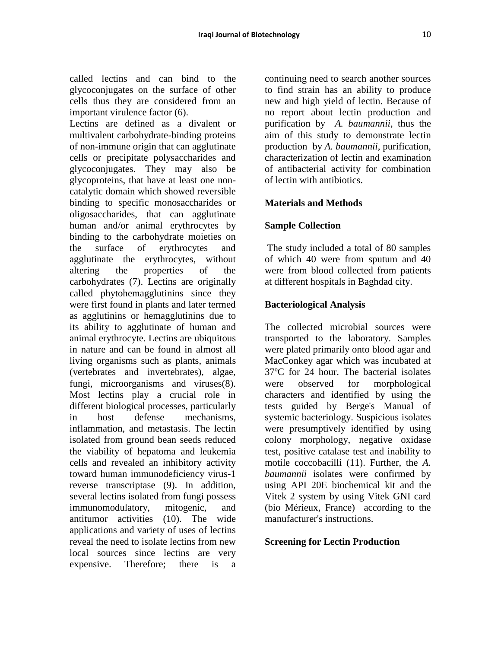called lectins and can bind to the glycoconjugates on the surface of other cells thus they are considered from an important virulence factor (6).

Lectins are defined as a divalent or multivalent carbohydrate-binding proteins of non-immune origin that can agglutinate cells or precipitate polysaccharides and glycoconjugates. They may also be glycoproteins, that have at least one noncatalytic domain which showed reversible binding to specific monosaccharides or oligosaccharides, that can agglutinate human and/or animal erythrocytes by binding to the carbohydrate moieties on the surface of erythrocytes and agglutinate the erythrocytes, without altering the properties of the carbohydrates (7). Lectins are originally called phytohemagglutinins since they were first found in plants and later termed as agglutinins or hemagglutinins due to its ability to agglutinate of human and animal erythrocyte. Lectins are ubiquitous in nature and can be found in almost all living organisms such as plants, animals (vertebrates and invertebrates), algae, fungi, microorganisms and viruses(8). Most lectins play a crucial role in different biological processes, particularly in host defense mechanisms, inflammation, and metastasis. The lectin isolated from ground bean seeds reduced the viability of hepatoma and leukemia cells and revealed an inhibitory activity toward human immunodeficiency virus-1 reverse transcriptase (9). In addition, several lectins isolated from fungi possess immunomodulatory, mitogenic, and antitumor activities (10). The wide applications and variety of uses of lectins reveal the need to isolate lectins from new local sources since lectins are very expensive. Therefore; there is a

continuing need to search another sources to find strain has an ability to produce new and high yield of lectin. Because of no report about lectin production and purification by *A. baumannii*, thus the aim of this study to demonstrate lectin production by *A. baumannii*, purification, characterization of lectin and examination of antibacterial activity for combination of lectin with antibiotics.

# **Materials and Methods**

#### **Sample Collection**

The study included a total of 80 samples of which 40 were from sputum and 40 were from blood collected from patients at different hospitals in Baghdad city.

#### **Bacteriological Analysis**

The collected microbial sources were transported to the laboratory. Samples were plated primarily onto blood agar and MacConkey agar which was incubated at 37ºC for 24 hour. The bacterial isolates were observed for morphological characters and identified by using the tests guided by Berge's Manual of systemic bacteriology. Suspicious isolates were presumptively identified by using colony morphology, negative oxidase test, positive catalase test and inability to motile coccobacilli (11). Further, the *A. baumannii* isolates were confirmed by using API 20E biochemical kit and the Vitek 2 system by using Vitek GNI card (bio Mérieux, France) according to the manufacturer's instructions.

#### **Screening for Lectin Production**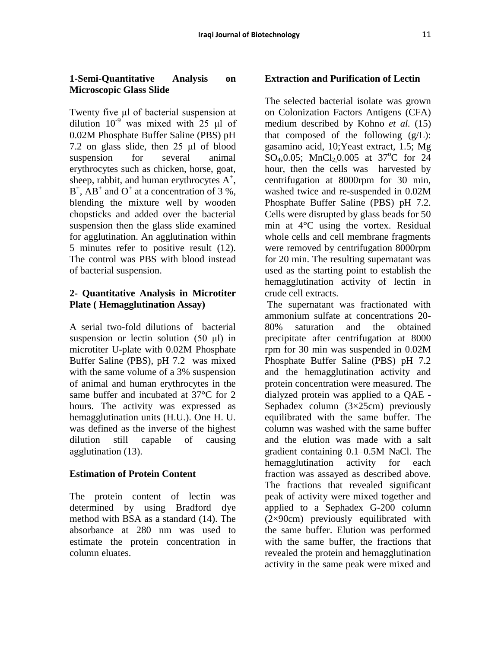### **1-Semi-Quantitative Analysis on Microscopic Glass Slide**

Twenty five μl of bacterial suspension at dilution  $10^{-9}$  was mixed with 25 μl of 0.02M Phosphate Buffer Saline (PBS) pH 7.2 on glass slide, then 25 μl of blood suspension for several animal erythrocytes such as chicken, horse, goat, sheep, rabbit, and human erythrocytes  $A^+$ ,  $B^+$ ,  $\overrightarrow{AB}^+$  and  $O^+$  at a concentration of 3 %, blending the mixture well by wooden chopsticks and added over the bacterial suspension then the glass slide examined for agglutination. An agglutination within 5 minutes refer to positive result (12). The control was PBS with blood instead of bacterial suspension.

# **2- Quantitative Analysis in Microtiter Plate ( Hemagglutination Assay)**

A serial two-fold dilutions of bacterial suspension or lectin solution (50 μl) in microtiter U-plate with 0.02M Phosphate Buffer Saline (PBS), pH 7.2 was mixed with the same volume of a 3% suspension of animal and human erythrocytes in the same buffer and incubated at 37°C for 2 hours. The activity was expressed as hemagglutination units (H.U.). One H. U. was defined as the inverse of the highest dilution still capable of causing agglutination (13).

# **Estimation of Protein Content**

The protein content of lectin was determined by using Bradford dye method with BSA as a standard (14). The absorbance at 280 nm was used to estimate the protein concentration in column eluates.

# **Extraction and Purification of Lectin**

The selected bacterial isolate was grown on Colonization Factors Antigens (CFA) medium described by Kohno *et al.* (15) that composed of the following  $(g/L)$ : gasamino acid, 10;Yeast extract, 1.5; Mg SO<sub>4</sub>,0.05; MnCl<sub>2</sub>,0.005 at 37<sup>o</sup>C for 24 hour, then the cells was harvested by centrifugation at 8000rpm for 30 min, washed twice and re-suspended in 0.02M Phosphate Buffer Saline (PBS) pH 7.2. Cells were disrupted by glass beads for 50 min at 4°C using the vortex. Residual whole cells and cell membrane fragments were removed by centrifugation 8000rpm for 20 min. The resulting supernatant was used as the starting point to establish the hemagglutination activity of lectin in crude cell extracts.

The supernatant was fractionated with ammonium sulfate at concentrations 20- 80% saturation and the obtained precipitate after centrifugation at 8000 rpm for 30 min was suspended in 0.02M Phosphate Buffer Saline (PBS) pH 7.2 and the hemagglutination activity and protein concentration were measured. The dialyzed protein was applied to a QAE - Sephadex column  $(3\times25cm)$  previously equilibrated with the same buffer. The column was washed with the same buffer and the elution was made with a salt gradient containing 0.1–0.5M NaCl. The hemagglutination activity for each fraction was assayed as described above. The fractions that revealed significant peak of activity were mixed together and applied to a Sephadex G-200 column (2×90cm) previously equilibrated with the same buffer. Elution was performed with the same buffer, the fractions that revealed the protein and hemagglutination activity in the same peak were mixed and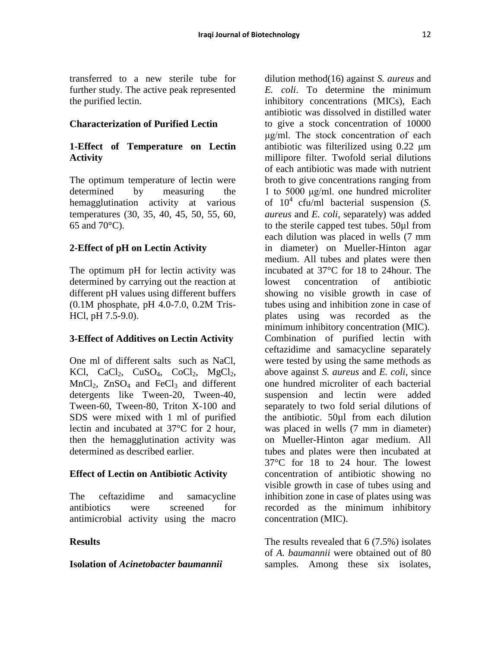transferred to a new sterile tube for further study. The active peak represented the purified lectin.

# **Characterization of Purified Lectin**

# **1-Effect of Temperature on Lectin Activity**

The optimum temperature of lectin were determined by measuring the hemagglutination activity at various temperatures (30, 35, 40, 45, 50, 55, 60, 65 and 70°C).

# **2-Effect of pH on Lectin Activity**

The optimum pH for lectin activity was determined by carrying out the reaction at different pH values using different buffers (0.1M phosphate, pH 4.0-7.0, 0.2M Tris-HCl, pH 7.5-9.0).

# **3-Effect of Additives on Lectin Activity**

One ml of different salts such as NaCl, KCl,  $CaCl<sub>2</sub>$ ,  $CuSO<sub>4</sub>$ ,  $CoCl<sub>2</sub>$ ,  $MgCl<sub>2</sub>$ ,  $MnCl<sub>2</sub>$ ,  $ZnSO<sub>4</sub>$  and FeCl<sub>3</sub> and different detergents like Tween-20, Tween-40, Tween-60, Tween-80, Triton X-100 and SDS were mixed with 1 ml of purified lectin and incubated at 37°C for 2 hour, then the hemagglutination activity was determined as described earlier.

# **Effect of Lectin on Antibiotic Activity**

The ceftazidime and samacycline antibiotics were screened for antimicrobial activity using the macro

# **Results**

#### **Isolation of** *Acinetobacter baumannii*

dilution method(16) against *S. aureus* and *E. coli*. To determine the minimum inhibitory concentrations (MICs), Each antibiotic was dissolved in distilled water to give a stock concentration of 10000 μg/ml. The stock concentration of each antibiotic was filterilized using 0.22 μm millipore filter. Twofold serial dilutions of each antibiotic was made with nutrient broth to give concentrations ranging from 1 to 5000 μg/ml. one hundred microliter of  $10^4$  cfu/ml bacterial suspension (*S. aureus* and *E. coli,* separately) was added to the sterile capped test tubes. 50µl from each dilution was placed in wells (7 mm in diameter) on Mueller-Hinton agar medium. All tubes and plates were then incubated at 37°C for 18 to 24hour. The lowest concentration of antibiotic showing no visible growth in case of tubes using and inhibition zone in case of plates using was recorded as the minimum inhibitory concentration (MIC). Combination of purified lectin with ceftazidime and samacycline separately were tested by using the same methods as above against *S. aureus* and *E. coli*, since one hundred microliter of each bacterial suspension and lectin were added separately to two fold serial dilutions of the antibiotic. 50µl from each dilution was placed in wells (7 mm in diameter) on Mueller-Hinton agar medium. All tubes and plates were then incubated at 37°C for 18 to 24 hour. The lowest concentration of antibiotic showing no visible growth in case of tubes using and inhibition zone in case of plates using was recorded as the minimum inhibitory concentration (MIC).

The results revealed that 6 (7.5%) isolates of *A. baumannii* were obtained out of 80 samples. Among these six isolates,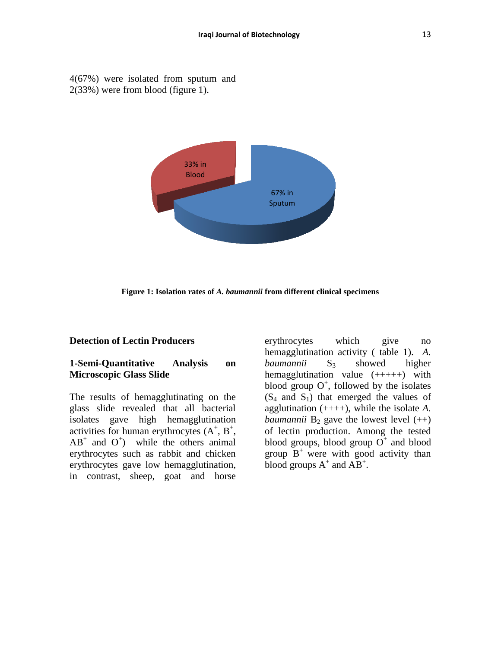4(67%) were isolated from sputum and 2(33%) were from blood (figure 1).



**Figure 1: Isolation rates of** *A. baumannii* **from different clinical specimens**

#### **Detection of Lectin Producers**

#### **1-Semi-Quantitative Analysis on Microscopic Glass Slide**

The results of hemagglutinating on the glass slide revealed that all bacterial isolates gave high hemagglutination activities for human erythrocytes  $(A^+, B^+, A^+)$  $AB^+$  and  $O^+$ ) while the others animal erythrocytes such as rabbit and chicken erythrocytes gave low hemagglutination, in contrast, sheep, goat and horse

erythrocytes which give no hemagglutination activity ( table 1). *A. baumannii* S<sub>3</sub> showed higher hemagglutination value  $(++++)$  with blood group  $O^+$ , followed by the isolates  $(S_4 \text{ and } S_1)$  that emerged the values of agglutination (++++), while the isolate *A. baumannii*  $B_2$  gave the lowest level  $(++)$ of lectin production. Among the tested blood groups, blood group  $O^+$  and blood group  $B^+$  were with good activity than blood groups  $A^+$  and  $\overrightarrow{AB}^+$ .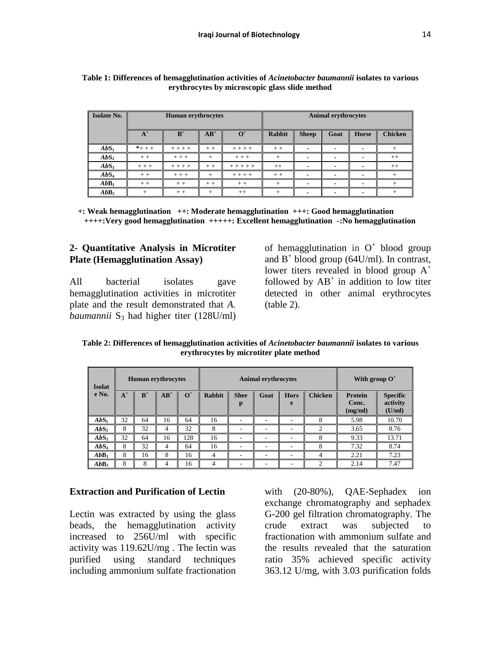| <b>Isolate No.</b> | <b>Human erythrocytes</b>         |           |      |             |         | <b>Animal erythrocytes</b> |      |                          |                |  |
|--------------------|-----------------------------------|-----------|------|-------------|---------|----------------------------|------|--------------------------|----------------|--|
|                    | $A^+$<br>$B^+$<br>$AB^+$<br>$O^+$ |           |      |             | Rabbit  | <b>Sheep</b>               | Goat | <b>Horse</b>             | <b>Chicken</b> |  |
| AbS <sub>1</sub>   | $*$ + + +                         | $+ + + +$ | $++$ | $+ + + +$   | $++$    | $\blacksquare$             |      |                          | $^{+}$         |  |
| AbS <sub>2</sub>   | $++$                              | $+ + +$   | $^+$ | $+ + +$     | $+$     | $\blacksquare$             |      |                          | $^{++}$        |  |
| $AbS_3$            | $++ +$                            | $+ + + +$ | $++$ | $+ + + + +$ | $^{++}$ | $\overline{\phantom{a}}$   |      |                          | $++$           |  |
| AbS <sub>4</sub>   | $++$                              | $+ + +$   | $^+$ | $+ + + +$   | $++$    | $\overline{\phantom{0}}$   |      | $\overline{\phantom{0}}$ | $^{+}$         |  |
| AbB <sub>1</sub>   | $++$                              | $++$      | $++$ | $++$        | $+$     | $\overline{\phantom{0}}$   |      |                          | $^{+}$         |  |
| AbB <sub>2</sub>   | $^{+}$                            | $++$      | $^+$ | $++$        | $+$     | $\blacksquare$             |      |                          |                |  |

**Table 1: Differences of hemagglutination activities of** *Acinetobacter baumannii* **isolates to various erythrocytes by microscopic glass slide method**

 **+: Weak hemagglutination ++: Moderate hemagglutination +++: Good hemagglutination ++++:Very good hemagglutination +++++: Excellent hemagglutination -:No hemagglutination**

### **2- Quantitative Analysis in Microtiter Plate (Hemagglutination Assay)**

All bacterial isolates gave hemagglutination activities in microtiter plate and the result demonstrated that *A. baumannii*  $S_3$  had higher titer (128U/ml)

of hemagglutination in  $O^+$  blood group and  $B^+$  blood group (64U/ml). In contrast, lower titers revealed in blood group  $A^+$ followed by  $AB^+$  in addition to low titer detected in other animal erythrocytes (table 2).

**Table 2: Differences of hemagglutination activities of** *Acinetobacter baumannii* **isolates to various erythrocytes by microtiter plate method**

| <b>Isolat</b>      | <b>Human</b> erythrocytes |       |        | <b>Animal erythrocytes</b> |               |                  |      |                  | With group $O^+$ |                                    |                                       |
|--------------------|---------------------------|-------|--------|----------------------------|---------------|------------------|------|------------------|------------------|------------------------------------|---------------------------------------|
| e No.              | $A^+$                     | $B^+$ | $AB^+$ | $O^+$                      | <b>Rabbit</b> | <b>Shee</b><br>p | Goat | <b>Hors</b><br>e | <b>Chicken</b>   | <b>Protein</b><br>Conc.<br>(mg/ml) | <b>Specific</b><br>activity<br>(U/ml) |
| AbS <sub>1</sub>   | 32                        | 64    | 16     | 64                         | 16            | ۰                | ۰    | ۰                | 8                | 5.98                               | 10.70                                 |
| $\mathbf{AbS}_{2}$ | 8                         | 32    |        | 32                         | 8             |                  |      | ۰                | ◠                | 3.65                               | 8.76                                  |
| $AbS_3$            | 32                        | 64    | 16     | 128                        | 16            | ۰                | ۰    | ۰                | 8                | 9.33                               | 13.71                                 |
| AbS <sub>4</sub>   | 8                         | 32    | 4      | 64                         | 16            | ۰                |      | -                | 8                | 7.32                               | 8.74                                  |
| AbB <sub>1</sub>   | 8                         | 16    | 8      | 16                         | 4             | ۰                | ۰.   | ۰                | 4                | 2.21                               | 7.23                                  |
| AbB <sub>2</sub>   | 8                         | 8     |        | 16                         | 4             | ۰                |      | ۰                | ↑                | 2.14                               | 7.47                                  |

#### **Extraction and Purification of Lectin**

Lectin was extracted by using the glass beads, the hemagglutination activity increased to 256U/ml with specific activity was 119.62U/mg . The lectin was purified using standard techniques including ammonium sulfate fractionation

with (20-80%), QAE-Sephadex ion exchange chromatography and sephadex G-200 gel filtration chromatography. The crude extract was subjected to fractionation with ammonium sulfate and the results revealed that the saturation ratio 35% achieved specific activity 363.12 U/mg, with 3.03 purification folds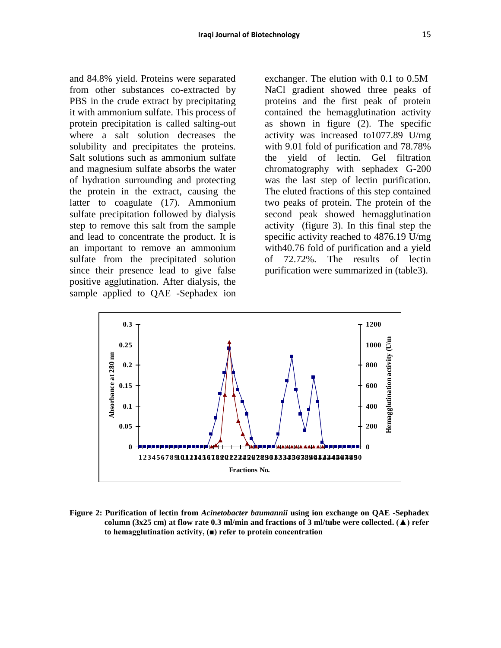and 84.8% yield. Proteins were separated from other substances co-extracted by PBS in the crude extract by precipitating it with ammonium sulfate. This process of protein precipitation is called salting-out where a salt solution decreases the solubility and precipitates the proteins. Salt solutions such as ammonium sulfate and magnesium sulfate absorbs the water of hydration surrounding and protecting the protein in the extract, causing the latter to coagulate (17). Ammonium sulfate precipitation followed by dialysis step to remove this salt from the sample and lead to concentrate the product. It is an important to remove an ammonium sulfate from the precipitated solution since their presence lead to give false positive agglutination. After dialysis, the sample applied to QAE -Sephadex ion

exchanger. The elution with 0.1 to 0.5M NaCl gradient showed three peaks of proteins and the first peak of protein contained the hemagglutination activity as shown in figure (2). The specific activity was increased to1077.89 U/mg with 9.01 fold of purification and 78.78% the yield of lectin. Gel filtration chromatography with sephadex G-200 was the last step of lectin purification. The eluted fractions of this step contained two peaks of protein. The protein of the second peak showed hemagglutination activity (figure 3). In this final step the specific activity reached to 4876.19 U/mg with40.76 fold of purification and a yield of 72.72%. The results of lectin purification were summarized in (table3).



**Figure 2: Purification of lectin from** *Acinetobacter baumannii* **using ion exchange on QAE -Sephadex column (3x25 cm) at flow rate 0.3 ml/min and fractions of 3 ml/tube were collected. (▲) refer to hemagglutination activity, (■) refer to protein concentration**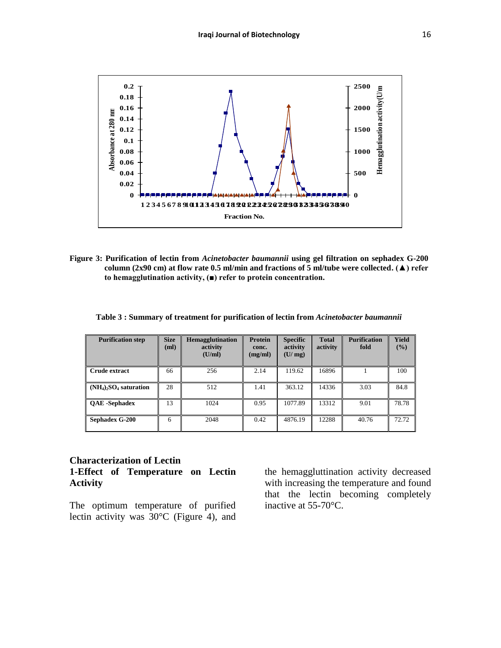

**Figure 3: Purification of lectin from** *Acinetobacter baumannii* **using gel filtration on sephadex G-200 column (2x90 cm) at flow rate 0.5 ml/min and fractions of 5 ml/tube were collected. (▲) refer to hemagglutination activity, (■) refer to protein concentration.**

|  |  |  | Table 3: Summary of treatment for purification of lectin from Acinetobacter baumannii |  |
|--|--|--|---------------------------------------------------------------------------------------|--|
|--|--|--|---------------------------------------------------------------------------------------|--|

| <b>Purification step</b>                         | <b>Size</b><br>(ml) | <b>Hemagglutination</b><br>activity<br>(U/ml) | <b>Protein</b><br>conc.<br>(mg/ml) | <b>Specific</b><br>activity<br>(U/mg) | <b>Total</b><br>activity | <b>Purification</b><br>fold | <b>Yield</b><br>$($ %) |
|--------------------------------------------------|---------------------|-----------------------------------------------|------------------------------------|---------------------------------------|--------------------------|-----------------------------|------------------------|
| Crude extract                                    | 66                  | 256                                           | 2.14                               | 119.62                                | 16896                    |                             | 100                    |
| $(NH_4)$ <sub>2</sub> SO <sub>4</sub> saturation | 28                  | 512                                           | 1.41                               | 363.12                                | 14336                    | 3.03                        | 84.8                   |
| <b>OAE</b> -Sephadex                             | 13                  | 1024                                          | 0.95                               | 1077.89                               | 13312                    | 9.01                        | 78.78                  |
| Sephadex G-200                                   | 6                   | 2048                                          | 0.42                               | 4876.19                               | 12288                    | 40.76                       | 72.72                  |

#### **Characterization of Lectin 1-Effect of Temperature on Lectin Activity**

The optimum temperature of purified lectin activity was 30°C (Figure 4), and the hemaggluttination activity decreased with increasing the temperature and found that the lectin becoming completely inactive at 55-70°C.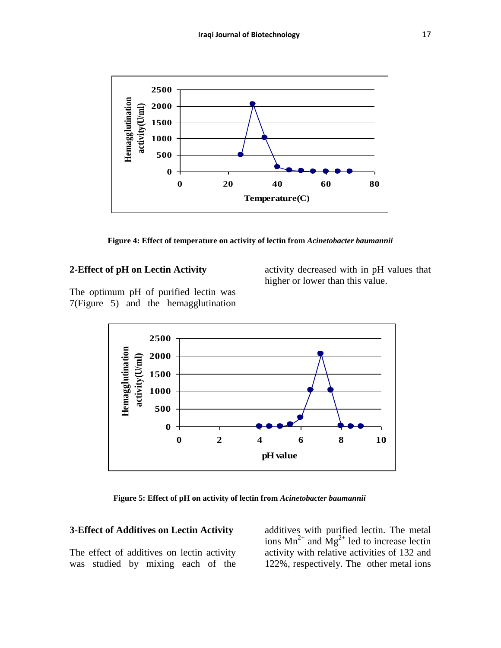

**Figure 4: Effect of temperature on activity of lectin from** *Acinetobacter baumannii*

# **2-Effect of pH on Lectin Activity**

activity decreased with in pH values that higher or lower than this value.

The optimum pH of purified lectin was 7(Figure 5) and the hemagglutination



 **Figure 5: Effect of pH on activity of lectin from** *Acinetobacter baumannii*

#### **3-Effect of Additives on Lectin Activity**

The effect of additives on lectin activity was studied by mixing each of the

additives with purified lectin. The metal ions  $Mn^{2+}$  and  $Mg^{2+}$  led to increase lectin activity with relative activities of 132 and 122%, respectively. The other metal ions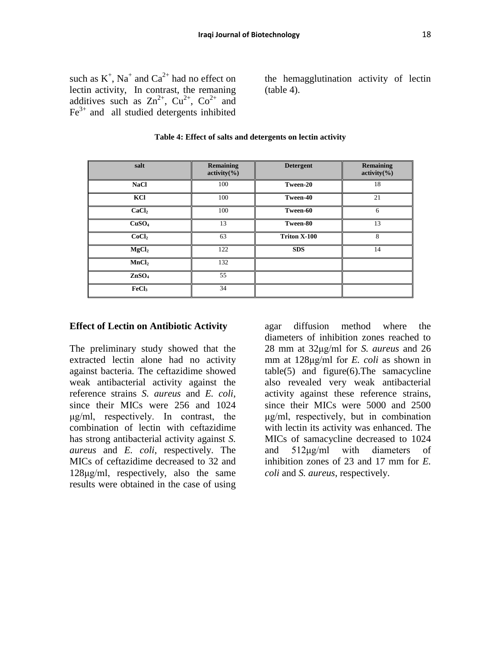such as  $K^+$ , Na<sup>+</sup> and Ca<sup>2+</sup> had no effect on lectin activity, In contrast, the remaning additives such as  $\text{Zn}^{2+}$ ,  $\text{Cu}^{2+}$ ,  $\text{Co}^{2+}$  and  $Fe<sup>3+</sup>$  and all studied detergents inhibited

the hemagglutination activity of lectin (table 4).

| salt              | <b>Remaining</b><br>activity( <sub>9</sub> ) | <b>Detergent</b> | <b>Remaining</b><br>activity( <sub>9</sub> ) |
|-------------------|----------------------------------------------|------------------|----------------------------------------------|
| <b>NaCl</b>       | 100                                          | Tween-20         | 18                                           |
| KCl               | 100                                          | Tween-40         | 21                                           |
| CaCl <sub>2</sub> | 100                                          | Tween-60         | 6                                            |
| CuSO <sub>4</sub> | 13                                           | Tween-80         | 13                                           |
| CoCl <sub>2</sub> | 63                                           | Triton X-100     | 8                                            |
| MgCl <sub>2</sub> | 122                                          | <b>SDS</b>       | 14                                           |
| MnCl <sub>2</sub> | 132                                          |                  |                                              |
| ZnSO <sub>4</sub> | 55                                           |                  |                                              |
| FeCl <sub>3</sub> | 34                                           |                  |                                              |

#### **Table 4: Effect of salts and detergents on lectin activity**

#### **Effect of Lectin on Antibiotic Activity**

The preliminary study showed that the extracted lectin alone had no activity against bacteria. The ceftazidime showed weak antibacterial activity against the reference strains *S. aureus* and *E. coli*, since their MICs were 256 and 1024 μg/ml, respectively. In contrast, the combination of lectin with ceftazidime has strong antibacterial activity against *S. aureus* and *E. coli*, respectively. The MICs of ceftazidime decreased to 32 and 128μg/ml, respectively, also the same results were obtained in the case of using

agar diffusion method where the diameters of inhibition zones reached to 28 mm at 32μg/ml for *S. aureus* and 26 mm at 128μg/ml for *E. coli* as shown in table(5) and figure(6).The samacycline also revealed very weak antibacterial activity against these reference strains, since their MICs were 5000 and 2500 μg/ml, respectively, but in combination with lectin its activity was enhanced. The MICs of samacycline decreased to 1024 and 512μg/ml with diameters of inhibition zones of 23 and 17 mm for *E. coli* and *S. aureus*, respectively.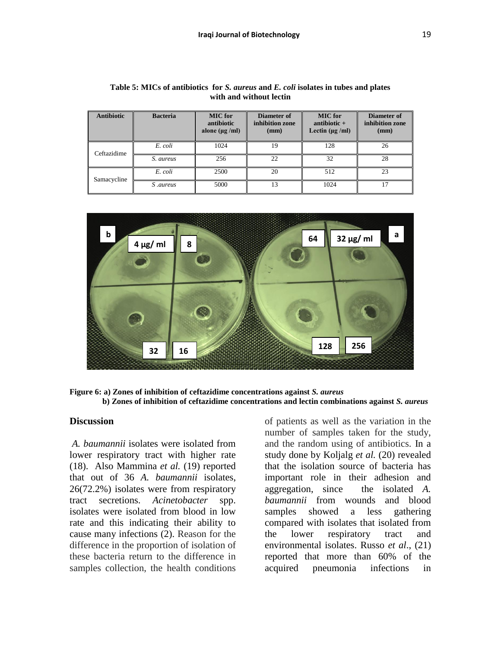| <b>Antibiotic</b> | <b>Bacteria</b> | <b>MIC</b> for<br>antibiotic<br>alone ( $\mu$ g /ml) | Diameter of<br>inhibition zone<br>(mm) | <b>MIC</b> for<br>antibiotic $+$<br>Lectin $(\mu g / ml)$ | Diameter of<br>inhibition zone<br>(mm) |
|-------------------|-----------------|------------------------------------------------------|----------------------------------------|-----------------------------------------------------------|----------------------------------------|
| Ceftazidime       | E. coli         | 1024                                                 | 19                                     | 128                                                       | 26                                     |
|                   | S. aureus       | 256                                                  | 22                                     | 32                                                        | 28                                     |
| Samacycline       | E. coli         | 2500                                                 | 20                                     | 512                                                       | 23                                     |
|                   | <i>S aureus</i> | 5000                                                 | 13                                     | 1024                                                      | 17                                     |

| Table 5: MICs of antibiotics for S. aureus and E. coli isolates in tubes and plates |  |  |  |  |  |  |  |  |
|-------------------------------------------------------------------------------------|--|--|--|--|--|--|--|--|
| with and without lectin                                                             |  |  |  |  |  |  |  |  |



**Figure 6: a) Zones of inhibition of ceftazidime concentrations against** *S. aureus*  **b) Zones of inhibition of ceftazidime concentrations and lectin combinations against** *S. aureus*

#### **Discussion**

*A. baumannii* isolates were isolated from lower respiratory tract with higher rate (18). Also Mammina *et al.* (19) reported that out of 36 *A. baumannii* isolates, 26(72.2%) isolates were from respiratory tract secretions. *Acinetobacter* spp. isolates were isolated from blood in low rate and this indicating their ability to cause many infections (2). Reason for the difference in the proportion of isolation of these bacteria return to the difference in samples collection, the health conditions

of patients as well as the variation in the number of samples taken for the study, and the random using of antibiotics. In a study done by Koljalg *et al.* (20) revealed that the isolation source of bacteria has important role in their adhesion and aggregation, since the isolated *A. baumannii* from wounds and blood samples showed a less gathering compared with isolates that isolated from the lower respiratory tract and environmental isolates. Russo *et al*., (21) reported that more than 60% of the acquired pneumonia infections in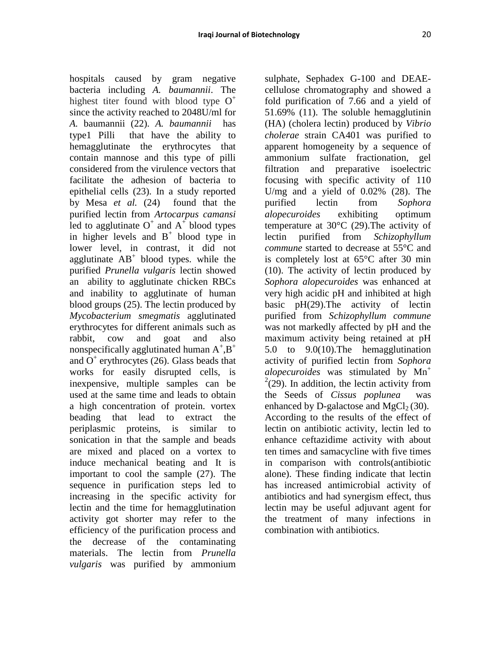hospitals caused by gram negative bacteria including *A. baumannii*. The highest titer found with blood type  $O^+$ since the activity reached to 2048U/ml for *A.* baumannii (22). *A. baumannii* has type1 Pilli that have the ability to hemagglutinate the erythrocytes that contain mannose and this type of pilli considered from the virulence vectors that facilitate the adhesion of bacteria to epithelial cells (23). In a study reported by Mesa *et al.* (24) found that the purified lectin from *Artocarpus camansi* led to agglutinate  $O^+$  and  $A^+$  blood types in higher levels and  $B^+$  blood type in lower level, in contrast, it did not agglutinate  $AB^+$  blood types. while the purified *Prunella vulgaris* lectin showed an ability to agglutinate chicken RBCs and inability to agglutinate of human blood groups (25). The lectin produced by *Mycobacterium smegmatis* agglutinated erythrocytes for different animals such as rabbit, cow and goat and also nonspecifically agglutinated human  $A^+$ ,  $B^+$ and  $O<sup>+</sup>$  erythrocytes (26). Glass beads that works for easily disrupted cells, is inexpensive, multiple samples can be used at the same time and leads to obtain a high concentration of protein. vortex beading that lead to extract the periplasmic proteins, is similar to sonication in that the sample and beads are mixed and placed on a vortex to induce mechanical beating and It is important to cool the sample (27). The sequence in purification steps led to increasing in the specific activity for lectin and the time for hemagglutination activity got shorter may refer to the efficiency of the purification process and the decrease of the contaminating materials. The lectin from *Prunella vulgaris* was purified by ammonium

sulphate, Sephadex G-100 and DEAEcellulose chromatography and showed a fold purification of 7.66 and a yield of 51.69% (11). The soluble hemagglutinin (HA) (cholera lectin) produced by *Vibrio cholerae* strain CA401 was purified to apparent homogeneity by a sequence of ammonium sulfate fractionation, gel filtration and preparative isoelectric focusing with specific activity of 110 U/mg and a yield of 0.02% (28). The purified lectin from *Sophora alopecuroides* exhibiting optimum temperature at 30°C (29).The activity of lectin purified from *Schizophyllum commune* started to decrease at 55°C and is completely lost at 65°C after 30 min (10). The activity of lectin produced by *Sophora alopecuroides* was enhanced at very high acidic pH and inhibited at high basic pH(29).The activity of lectin purified from *Schizophyllum commune* was not markedly affected by pH and the maximum activity being retained at pH 5.0 to 9.0(10).The hemagglutination activity of purified lectin from *Sophora alopecuroides* was stimulated by Mn<sup>+</sup>  $2(29)$ . In addition, the lectin activity from the Seeds of *Cissus poplunea* was enhanced by D-galactose and  $MgCl<sub>2</sub>(30)$ . According to the results of the effect of lectin on antibiotic activity, lectin led to enhance ceftazidime activity with about ten times and samacycline with five times in comparison with controls(antibiotic alone). These finding indicate that lectin has increased antimicrobial activity of antibiotics and had synergism effect, thus lectin may be useful adjuvant agent for the treatment of many infections in combination with antibiotics.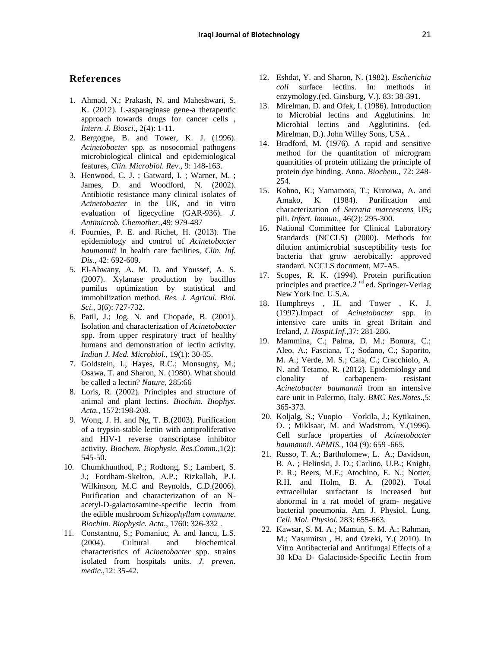#### **References**

- 1. Ahmad, N.; Prakash, N. and Maheshwari, S. K. (2012). L-asparaginase gene-a therapeutic approach towards drugs for cancer cells , *Intern. J. Biosci*., 2(4): 1-11.
- 2. Bergogne, B. and Tower, K. J. (1996). *Acinetobacter* spp. as nosocomial pathogens microbiological clinical and epidemiological features, *Clin. Microbiol. Rev.,* 9: 148-163.
- 3. Henwood, C. J. ; Gatward, I. ; Warner, M. ; James, D. and Woodford, N. (2002). Antibiotic resistance many clinical isolates of *Acinetobacter* in the UK, and in vitro evaluation of ligecycline (GAR-936). *J. Antimicrob. Chemother.*,49: 979-487
- *4.* Fournies, P. E. and Richet, H. (2013). The epidemiology and control of *Acinetobacter baumannii* In health care facilities, *Clin. Inf. Dis.*, 42: 692-609.
- 5. El-Ahwany, A. M. D. and Youssef, A. S. (2007). Xylanase production by bacillus pumilus optimization by statistical and immobilization method. *Res. J. Agricul. Biol. Sci.*, 3(6): 727-732.
- 6. Patil, J.; Jog, N. and Chopade, B. (2001). Isolation and characterization of *Acinetobacter*  spp. from upper respiratory tract of healthy humans and demonstration of lectin activity. *Indian J. Med. Microbiol.*, 19(1): 30-35.
- 7. Goldstein, I.; Hayes, R.C.; Monsugny, M.; Osawa, T. and Sharon, N. (1980). What should be called a lectin? *Nature*, 285:66
- 8. Loris, R. (2002). Principles and structure of animal and plant lectins. *Biochim. Biophys. Acta.*, 1572:198-208.
- 9. Wong, J. H. and Ng, T. B.(2003). Purification of a trypsin-stable lectin with antiproliferative and HIV-1 reverse transcriptase inhibitor activity. *Biochem. Biophysic. Res.Comm.*,1(2): 545-50.
- 10. Chumkhunthod, P.; Rodtong, S.; Lambert, S. J.; Fordham-Skelton, A.P.; Rizkallah, P.J. Wilkinson, M.C and Reynolds, C.D.(2006). Purification and characterization of an Nacetyl-D-galactosamine-specific lectin from the edible mushroom *Schizophyllum commune*. *Biochim. Biophysic. Acta.*, 1760: 326-332 .
- 11. Constantnu, S.; Pomaniuc, A. and Iancu, L.S. (2004). Cultural and biochemical characteristics of *Acinetobacter* spp. strains isolated from hospitals units. *J. preven. medic.*,12: 35-42.
- 12. Eshdat, Y. and Sharon, N. (1982). *Escherichia coli* surface lectins. In: methods in enzymology.(ed. Ginsburg, V.). 83: 38-391.
- 13. Mirelman, D. and Ofek, I. (1986). Introduction to Microbial lectins and Agglutinins. In: Microbial lectins and Agglutinins. (ed. Mirelman, D.). John Willey Sons, USA .
- 14. Bradford, M. (1976). A rapid and sensitive method for the quantitation of microgram quantitities of protein utilizing the principle of protein dye binding. Anna. *Biochem.*, 72: 248- 254.
- 15. Kohno, K.; Yamamota, T.; Kuroiwa, A. and Amako, K. (1984). Purification and characterization of *Serratia marcescens* US<sub>5</sub> pili. *Infect. Immun*., 46(2): 295-300.
- 16. National Committee for Clinical Laboratory Standards (NCCLS) (2000). Methods for dilution antimicrobial susceptibility tests for bacteria that grow aerobically: approved standard. NCCLS document, M7-A5.
- 17. Scopes, R. K. (1994). Protein purification principles and practice.2<sup>nd</sup> ed. Springer-Verlag New York Inc. U.S.A.
- 18. Humphreys , H. and Tower , K. J. (1997).Impact of *Acinetobacter* spp. in intensive care units in great Britain and Ireland, *J. Hospit.Inf.*,37: 281-286.
- 19. Mammina, C.; Palma, D. M.; Bonura, C.; Aleo, A.; Fasciana, T.; Sodano, C.; Saporito, M. A.; Verde, M. S.; Calà, C.; Cracchiolo, A. N. and Tetamo, R. (2012). Epidemiology and clonality of carbapenem- resistant *Acinetobacter baumannii* from an intensive care unit in Palermo, Italy. *BMC Res.Notes*.,5: 365-373.
- 20. Koljalg, S.; Vuopio Vorkila, J.; Kytikainen, O. ; Miklsaar, M. and Wadstrom, Y.(1996). Cell surface properties of *Acinetobacter baumannii*. *APMIS.*, 104 (9): 659 -665.
- 21. Russo, T. A.; Bartholomew, L. A.; Davidson, B. A. ; Helinski, J. D.; Carlino, U.B.; Knight, P. R.; Beers, M.F.; Atochino, E. N.; Notter, R.H. and Holm, B. A. (2002). Total extracellular surfactant is increased but abnormal in a rat model of gram- negative bacterial pneumonia. Am. J. Physiol. Lung. *Cell. Mol. Physiol.* 283: 655-663.
- 22. Kawsar, S. M. A.; Mamun, S. M. A.; Rahman, M.; Yasumitsu , H. and Ozeki, Y.( 2010). In Vitro Antibacterial and Antifungal Effects of a 30 kDa D- Galactoside-Specific Lectin from